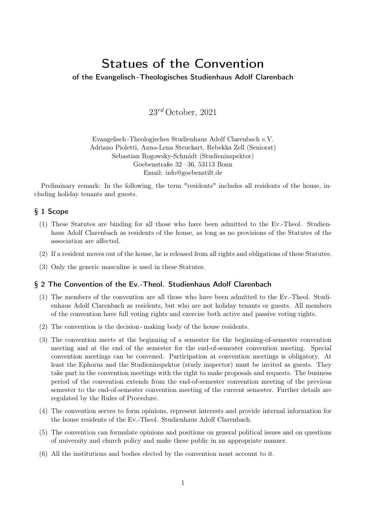# Statues of the Convention

## of the Evangelisch -Theologisches Studienhaus Adolf Clarenbach

 $23^{rd}$  October, 2021

Evangelisch -Theologisches Studienhaus Adolf Clarenbach e.V. Adriano Pioletti, Anna-Lena Steuckart, Rebekka Zell (Seniorat) Sebastian Rogowsky-Schmidt (Studieninspektor) Goebenstraße 32 – 36, 53113 Bonn Email: info@goebenstift.de

Preliminary remark: In the following, the term "residents" includes all residents of the house, including holiday tenants and guests.

## § 1 Scope

- (1) These Statutes are binding for all those who have been admitted to the Ev.-Theol. Studienhaus Adolf Clarenbach as residents of the house, as long as no provisions of the Statutes of the association are affected.
- (2) If a resident moves out of the house, he is released from all rights and obligations of these Statutes.
- (3) Only the generic masculine is used in these Statutes.

#### § 2 The Convention of the Ev.-Theol. Studienhaus Adolf Clarenbach

- (1) The members of the convention are all those who have been admitted to the Ev.-Theol. Studienhaus Adolf Clarenbach as residents, but who are not holiday tenants or guests. All members of the convention have full voting rights and exercise both active and passive voting rights.
- (2) The convention is the decision making body of the house residents.
- (3) The convention meets at the beginning of a semester for the beginning-of-semester convention meeting and at the end of the semester for the end-of-semester convention meeting. Special convention meetings can be convened. Participation at convention meetings is obligatory. At least the Ephorus and the Studieninspektor (study inspector) must be invited as guests. They take part in the convention meetings with the right to make proposals and requests. The business period of the convention extends from the end-of-semester convention meeting of the previous semester to the end-of-semester convention meeting of the current semester. Further details are regulated by the Rules of Procedure.
- (4) The convention serves to form opinions, represent interests and provide internal information for the house residents of the Ev.-Theol. Studienhaus Adolf Clarenbach.
- (5) The convention can formulate opinions and positions on general political issues and on questions of university and church policy and make these public in an appropriate manner.
- (6) All the institutions and bodies elected by the convention must account to it.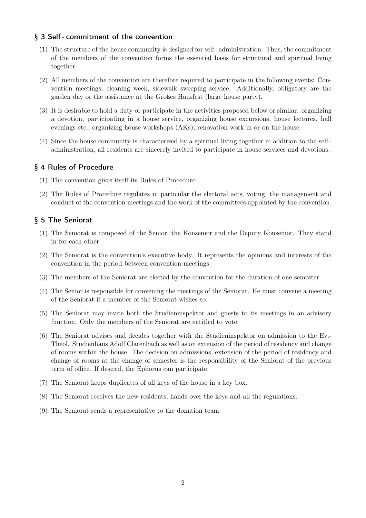## § 3 Self - commitment of the convention

- (1) The structure of the house community is designed for self administration. Thus, the commitment of the members of the convention forms the essential basis for structural and spiritual living together.
- (2) All members of the convention are therefore required to participate in the following events: Convention meetings, cleaning week, sidewalk sweeping service. Additionally, obligatory are the garden day or the assistance at the Großes Hausfest (large house party).
- (3) It is desirable to hold a duty or participate in the activities proposed below or similar: organizing a devotion, participating in a house service, organizing house excursions, house lectures, hall evenings etc., organizing house workshops (AKs), renovation work in or on the house.
- (4) Since the house community is characterized by a spiritual living together in addition to the self administration, all residents are sincerely invited to participate in house services and devotions.

## § 4 Rules of Procedure

- (1) The convention gives itself its Rules of Procedure.
- (2) The Rules of Procedure regulates in particular the electoral acts, voting, the management and conduct of the convention meetings and the work of the committees appointed by the convention.

## § 5 The Seniorat

- (1) The Seniorat is composed of the Senior, the Konsenior and the Deputy Konsenior. They stand in for each other.
- (2) The Seniorat is the convention's executive body. It represents the opinions and interests of the convention in the period between convention meetings.
- (3) The members of the Seniorat are elected by the convention for the duration of one semester.
- (4) The Senior is responsible for convening the meetings of the Seniorat. He must convene a meeting of the Seniorat if a member of the Seniorat wishes so.
- (5) The Seniorat may invite both the Studieninspektor and guests to its meetings in an advisory function. Only the members of the Seniorat are entitled to vote.
- (6) The Seniorat advises and decides together with the Studieninspektor on admission to the Ev.- Theol. Studienhaus Adolf Clarenbach as well as on extension of the period of residency and change of rooms within the house. The decision on admissions, extension of the period of residency and change of rooms at the change of semester is the responsibility of the Seniorat of the previous term of office. If desired, the Ephorus can participate.
- (7) The Seniorat keeps duplicates of all keys of the house in a key box.
- (8) The Seniorat receives the new residents, hands over the keys and all the regulations.
- (9) The Seniorat sends a representative to the donation team.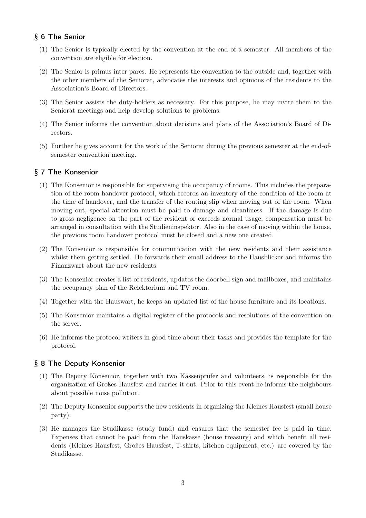# § 6 The Senior

- (1) The Senior is typically elected by the convention at the end of a semester. All members of the convention are eligible for election.
- (2) The Senior is primus inter pares. He represents the convention to the outside and, together with the other members of the Seniorat, advocates the interests and opinions of the residents to the Association's Board of Directors.
- (3) The Senior assists the duty-holders as necessary. For this purpose, he may invite them to the Seniorat meetings and help develop solutions to problems.
- (4) The Senior informs the convention about decisions and plans of the Association's Board of Directors.
- (5) Further he gives account for the work of the Seniorat during the previous semester at the end-ofsemester convention meeting.

## § 7 The Konsenior

- (1) The Konsenior is responsible for supervising the occupancy of rooms. This includes the preparation of the room handover protocol, which records an inventory of the condition of the room at the time of handover, and the transfer of the routing slip when moving out of the room. When moving out, special attention must be paid to damage and cleanliness. If the damage is due to gross negligence on the part of the resident or exceeds normal usage, compensation must be arranged in consultation with the Studieninspektor. Also in the case of moving within the house, the previous room handover protocol must be closed and a new one created.
- (2) The Konsenior is responsible for communication with the new residents and their assistance whilst them getting settled. He forwards their email address to the Hausblicker and informs the Finanzwart about the new residents.
- (3) The Konsenior creates a list of residents, updates the doorbell sign and mailboxes, and maintains the occupancy plan of the Refektorium and TV room.
- (4) Together with the Hauswart, he keeps an updated list of the house furniture and its locations.
- (5) The Konsenior maintains a digital register of the protocols and resolutions of the convention on the server.
- (6) He informs the protocol writers in good time about their tasks and provides the template for the protocol.

#### § 8 The Deputy Konsenior

- (1) The Deputy Konsenior, together with two Kassenprüfer and volunteers, is responsible for the organization of Großes Hausfest and carries it out. Prior to this event he informs the neighbours about possible noise pollution.
- (2) The Deputy Konsenior supports the new residents in organizing the Kleines Hausfest (small house party).
- (3) He manages the Studikasse (study fund) and ensures that the semester fee is paid in time. Expenses that cannot be paid from the Hauskasse (house treasury) and which benefit all residents (Kleines Hausfest, Großes Hausfest, T-shirts, kitchen equipment, etc.) are covered by the Studikasse.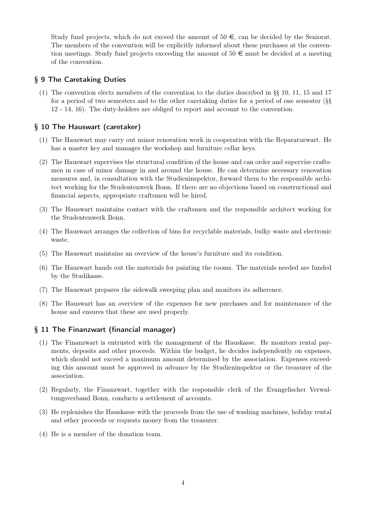Study fund projects, which do not exceed the amount of  $50 \in \mathcal{E}$ , can be decided by the Seniorat. The members of the convention will be explicitly informed about these purchases at the convention meetings. Study fund projects exceeding the amount of  $50 \in \text{must}$  be decided at a meeting of the convention.

# § 9 The Caretaking Duties

(1) The convention elects members of the convention to the duties described in §§ 10, 11, 15 and 17 for a period of two semesters and to the other caretaking duties for a period of one semester (§§ 12 - 14, 16). The duty-holders are obliged to report and account to the convention.

## § 10 The Hauswart (caretaker)

- (1) The Hauswart may carry out minor renovation work in cooperation with the Reparaturwart. He has a master key and manages the workshop and furniture cellar keys.
- (2) The Hauswart supervises the structural condition of the house and can order and supervise craftsmen in case of minor damage in and around the house. He can determine necessary renovation measures and, in consultation with the Studieninspektor, forward them to the responsible architect working for the Studentenwerk Bonn. If there are no objections based on constructional and financial aspects, appropriate craftsmen will be hired.
- (3) The Hauswart maintains contact with the craftsmen and the responsible architect working for the Studentenwerk Bonn.
- (4) The Hauswart arranges the collection of bins for recyclable materials, bulky waste and electronic waste.
- (5) The Hauswart maintains an overview of the house's furniture and its condition.
- (6) The Hauswart hands out the materials for painting the rooms. The materials needed are funded by the Studikasse.
- (7) The Hauswart prepares the sidewalk sweeping plan and monitors its adherence.
- (8) The Hauswart has an overview of the expenses for new purchases and for maintenance of the house and ensures that these are used properly.

## § 11 The Finanzwart (financial manager)

- (1) The Finanzwart is entrusted with the management of the Hauskasse. He monitors rental payments, deposits and other proceeds. Within the budget, he decides independently on expenses, which should not exceed a maximum amount determined by the association. Expenses exceeding this amount must be approved in advance by the Studieninspektor or the treasurer of the association.
- (2) Regularly, the Finanzwart, together with the responsible clerk of the Evangelischer Verwaltungsverband Bonn, conducts a settlement of accounts.
- (3) He replenishes the Hauskasse with the proceeds from the use of washing machines, holiday rental and other proceeds or requests money from the treasurer.
- (4) He is a member of the donation team.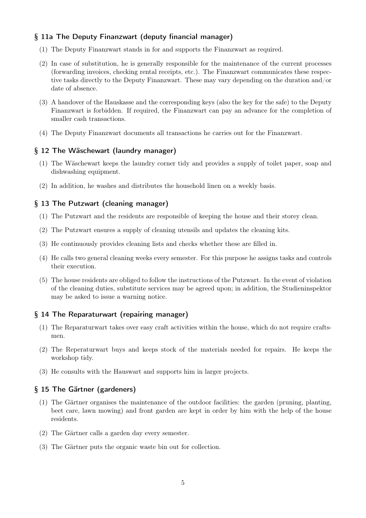# § 11a The Deputy Finanzwart (deputy financial manager)

- (1) The Deputy Finanzwart stands in for and supports the Finanzwart as required.
- (2) In case of substitution, he is generally responsible for the maintenance of the current processes (forwarding invoices, checking rental receipts, etc.). The Finanzwart communicates these respective tasks directly to the Deputy Finanzwart. These may vary depending on the duration and/or date of absence.
- (3) A handover of the Hauskasse and the corresponding keys (also the key for the safe) to the Deputy Finanzwart is forbidden. If required, the Finanzwart can pay an advance for the completion of smaller cash transactions.
- (4) The Deputy Finanzwart documents all transactions he carries out for the Finanzwart.

#### § 12 The Wäschewart (laundry manager)

- (1) The Wäschewart keeps the laundry corner tidy and provides a supply of toilet paper, soap and dishwashing equipment.
- (2) In addition, he washes and distributes the household linen on a weekly basis.

#### § 13 The Putzwart (cleaning manager)

- (1) The Putzwart and the residents are responsible of keeping the house and their storey clean.
- (2) The Putzwart ensures a supply of cleaning utensils and updates the cleaning kits.
- (3) He continuously provides cleaning lists and checks whether these are filled in.
- (4) He calls two general cleaning weeks every semester. For this purpose he assigns tasks and controls their execution.
- (5) The house residents are obliged to follow the instructions of the Putzwart. In the event of violation of the cleaning duties, substitute services may be agreed upon; in addition, the Studieninspektor may be asked to issue a warning notice.

#### § 14 The Reparaturwart (repairing manager)

- (1) The Reparaturwart takes over easy craft activities within the house, which do not require craftsmen.
- (2) The Reperaturwart buys and keeps stock of the materials needed for repairs. He keeps the workshop tidy.
- (3) He consults with the Hauswart and supports him in larger projects.

#### § 15 The Gärtner (gardeners)

- (1) The Gärtner organises the maintenance of the outdoor facilities: the garden (pruning, planting, beet care, lawn mowing) and front garden are kept in order by him with the help of the house residents.
- (2) The Gärtner calls a garden day every semester.
- (3) The Gärtner puts the organic waste bin out for collection.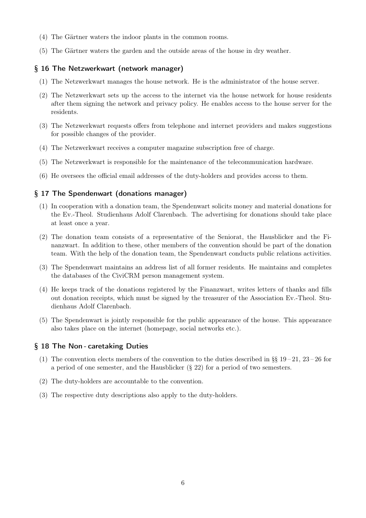- (4) The Gärtner waters the indoor plants in the common rooms.
- (5) The Gärtner waters the garden and the outside areas of the house in dry weather.

## § 16 The Netzwerkwart (network manager)

- (1) The Netzwerkwart manages the house network. He is the administrator of the house server.
- (2) The Netzwerkwart sets up the access to the internet via the house network for house residents after them signing the network and privacy policy. He enables access to the house server for the residents.
- (3) The Netzwerkwart requests offers from telephone and internet providers and makes suggestions for possible changes of the provider.
- (4) The Netzwerkwart receives a computer magazine subscription free of charge.
- (5) The Netzwerkwart is responsible for the maintenance of the telecommunication hardware.
- (6) He oversees the official email addresses of the duty-holders and provides access to them.

# § 17 The Spendenwart (donations manager)

- (1) In cooperation with a donation team, the Spendenwart solicits money and material donations for the Ev.-Theol. Studienhaus Adolf Clarenbach. The advertising for donations should take place at least once a year.
- (2) The donation team consists of a representative of the Seniorat, the Hausblicker and the Finanzwart. In addition to these, other members of the convention should be part of the donation team. With the help of the donation team, the Spendenwart conducts public relations activities.
- (3) The Spendenwart maintains an address list of all former residents. He maintains and completes the databases of the CiviCRM person management system.
- (4) He keeps track of the donations registered by the Finanzwart, writes letters of thanks and fills out donation receipts, which must be signed by the treasurer of the Association Ev.-Theol. Studienhaus Adolf Clarenbach.
- (5) The Spendenwart is jointly responsible for the public appearance of the house. This appearance also takes place on the internet (homepage, social networks etc.).

## § 18 The Non - caretaking Duties

- (1) The convention elects members of the convention to the duties described in §§  $19-21$ ,  $23-26$  for a period of one semester, and the Hausblicker (§ 22) for a period of two semesters.
- (2) The duty-holders are accountable to the convention.
- (3) The respective duty descriptions also apply to the duty-holders.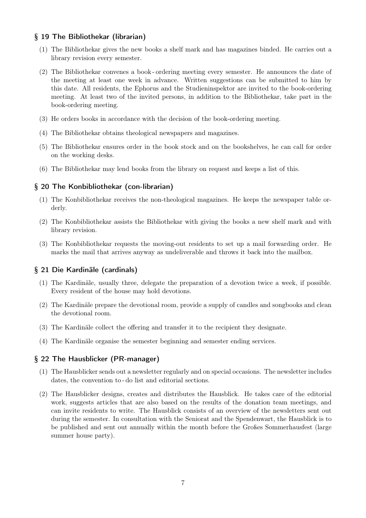## § 19 The Bibliothekar (librarian)

- (1) The Bibliothekar gives the new books a shelf mark and has magazines binded. He carries out a library revision every semester.
- (2) The Bibliothekar convenes a book ordering meeting every semester. He announces the date of the meeting at least one week in advance. Written suggestions can be submitted to him by this date. All residents, the Ephorus and the Studieninspektor are invited to the book-ordering meeting. At least two of the invited persons, in addition to the Bibliothekar, take part in the book-ordering meeting.
- (3) He orders books in accordance with the decision of the book-ordering meeting.
- (4) The Bibliothekar obtains theological newspapers and magazines.
- (5) The Bibliothekar ensures order in the book stock and on the bookshelves, he can call for order on the working desks.
- (6) The Bibliothekar may lend books from the library on request and keeps a list of this.

## § 20 The Konbibliothekar (con-librarian)

- (1) The Konbibliothekar receives the non-theological magazines. He keeps the newspaper table orderly.
- (2) The Konbibliothekar assists the Bibliothekar with giving the books a new shelf mark and with library revision.
- (3) The Konbibliothekar requests the moving-out residents to set up a mail forwarding order. He marks the mail that arrives anyway as undeliverable and throws it back into the mailbox.

#### § 21 Die Kardinäle (cardinals)

- (1) The Kardinäle, usually three, delegate the preparation of a devotion twice a week, if possible. Every resident of the house may hold devotions.
- (2) The Kardinäle prepare the devotional room, provide a supply of candles and songbooks and clean the devotional room.
- (3) The Kardinäle collect the offering and transfer it to the recipient they designate.
- (4) The Kardinäle organise the semester beginning and semester ending services.

#### § 22 The Hausblicker (PR-manager)

- (1) The Hausblicker sends out a newsletter regularly and on special occasions. The newsletter includes dates, the convention to - do list and editorial sections.
- (2) The Hausblicker designs, creates and distributes the Hausblick. He takes care of the editorial work, suggests articles that are also based on the results of the donation team meetings, and can invite residents to write. The Hausblick consists of an overview of the newsletters sent out during the semester. In consultation with the Seniorat and the Spendenwart, the Hausblick is to be published and sent out annually within the month before the Großes Sommerhausfest (large summer house party).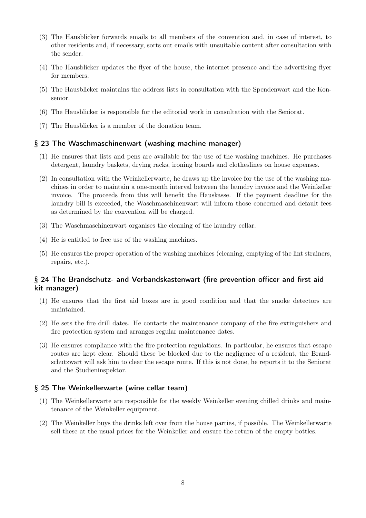- (3) The Hausblicker forwards emails to all members of the convention and, in case of interest, to other residents and, if necessary, sorts out emails with unsuitable content after consultation with the sender.
- (4) The Hausblicker updates the flyer of the house, the internet presence and the advertising flyer for members.
- (5) The Hausblicker maintains the address lists in consultation with the Spendenwart and the Konsenior.
- (6) The Hausblicker is responsible for the editorial work in consultation with the Seniorat.
- (7) The Hausblicker is a member of the donation team.

## § 23 The Waschmaschinenwart (washing machine manager)

- (1) He ensures that lists and pens are available for the use of the washing machines. He purchases detergent, laundry baskets, drying racks, ironing boards and clotheslines on house expenses.
- (2) In consultation with the Weinkellerwarte, he draws up the invoice for the use of the washing machines in order to maintain a one-month interval between the laundry invoice and the Weinkeller invoice. The proceeds from this will benefit the Hauskasse. If the payment deadline for the laundry bill is exceeded, the Waschmaschinenwart will inform those concerned and default fees as determined by the convention will be charged.
- (3) The Waschmaschinenwart organises the cleaning of the laundry cellar.
- (4) He is entitled to free use of the washing machines.
- (5) He ensures the proper operation of the washing machines (cleaning, emptying of the lint strainers, repairs, etc.).

# § 24 The Brandschutz- and Verbandskastenwart (fire prevention officer and first aid kit manager)

- (1) He ensures that the first aid boxes are in good condition and that the smoke detectors are maintained.
- (2) He sets the fire drill dates. He contacts the maintenance company of the fire extinguishers and fire protection system and arranges regular maintenance dates.
- (3) He ensures compliance with the fire protection regulations. In particular, he ensures that escape routes are kept clear. Should these be blocked due to the negligence of a resident, the Brandschutzwart will ask him to clear the escape route. If this is not done, he reports it to the Seniorat and the Studieninspektor.

#### § 25 The Weinkellerwarte (wine cellar team)

- (1) The Weinkellerwarte are responsible for the weekly Weinkeller evening chilled drinks and maintenance of the Weinkeller equipment.
- (2) The Weinkeller buys the drinks left over from the house parties, if possible. The Weinkellerwarte sell these at the usual prices for the Weinkeller and ensure the return of the empty bottles.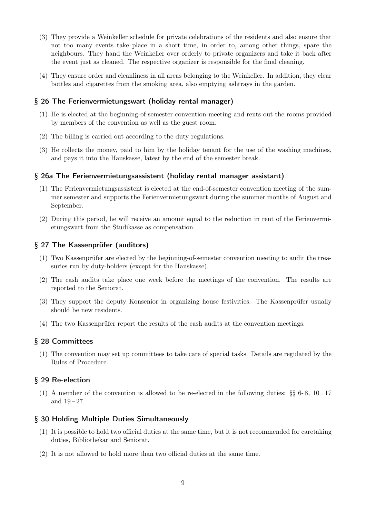- (3) They provide a Weinkeller schedule for private celebrations of the residents and also ensure that not too many events take place in a short time, in order to, among other things, spare the neighbours. They hand the Weinkeller over orderly to private organizers and take it back after the event just as cleaned. The respective organizer is responsible for the final cleaning.
- (4) They ensure order and cleanliness in all areas belonging to the Weinkeller. In addition, they clear bottles and cigarettes from the smoking area, also emptying ashtrays in the garden.

## § 26 The Ferienvermietungswart (holiday rental manager)

- (1) He is elected at the beginning-of-semester convention meeting and rents out the rooms provided by members of the convention as well as the guest room.
- (2) The billing is carried out according to the duty regulations.
- (3) He collects the money, paid to him by the holiday tenant for the use of the washing machines, and pays it into the Hauskasse, latest by the end of the semester break.

#### § 26a The Ferienvermietungsassistent (holiday rental manager assistant)

- (1) The Ferienvermietungsassistent is elected at the end-of-semester convention meeting of the summer semester and supports the Ferienvermietungswart during the summer months of August and September.
- (2) During this period, he will receive an amount equal to the reduction in rent of the Ferienvermietungswart from the Studikasse as compensation.

## § 27 The Kassenprüfer (auditors)

- (1) Two Kassenprüfer are elected by the beginning-of-semester convention meeting to audit the treasuries run by duty-holders (except for the Hauskasse).
- (2) The cash audits take place one week before the meetings of the convention. The results are reported to the Seniorat.
- (3) They support the deputy Konsenior in organizing house festivities. The Kassenprüfer usually should be new residents.
- (4) The two Kassenprüfer report the results of the cash audits at the convention meetings.

#### § 28 Committees

(1) The convention may set up committees to take care of special tasks. Details are regulated by the Rules of Procedure.

## § 29 Re-election

(1) A member of the convention is allowed to be re-elected in the following duties:  $\S\$  6-8, 10-17 and  $19 - 27$ .

#### § 30 Holding Multiple Duties Simultaneously

- (1) It is possible to hold two official duties at the same time, but it is not recommended for caretaking duties, Bibliothekar and Seniorat.
- (2) It is not allowed to hold more than two official duties at the same time.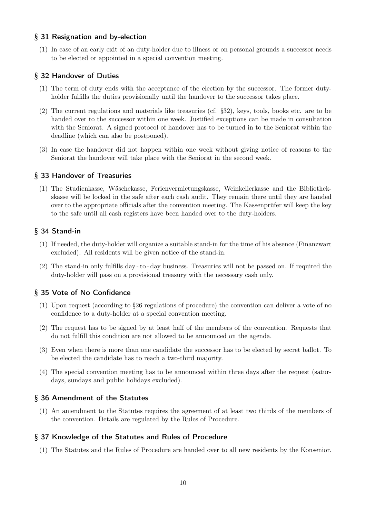## § 31 Resignation and by-election

(1) In case of an early exit of an duty-holder due to illness or on personal grounds a successor needs to be elected or appointed in a special convention meeting.

# § 32 Handover of Duties

- (1) The term of duty ends with the acceptance of the election by the successor. The former dutyholder fulfills the duties provisionally until the handover to the successor takes place.
- (2) The current regulations and materials like treasuries (cf. §32), keys, tools, books etc. are to be handed over to the successor within one week. Justified exceptions can be made in consultation with the Seniorat. A signed protocol of handover has to be turned in to the Seniorat within the deadline (which can also be postponed).
- (3) In case the handover did not happen within one week without giving notice of reasons to the Seniorat the handover will take place with the Seniorat in the second week.

## § 33 Handover of Treasuries

(1) The Studienkasse, Wäschekasse, Ferienvermietungskasse, Weinkellerkasse and the Bibliothekskasse will be locked in the safe after each cash audit. They remain there until they are handed over to the appropriate officials after the convention meeting. The Kassenprüfer will keep the key to the safe until all cash registers have been handed over to the duty-holders.

# § 34 Stand-in

- (1) If needed, the duty-holder will organize a suitable stand-in for the time of his absence (Finanzwart excluded). All residents will be given notice of the stand-in.
- (2) The stand-in only fulfills day to day business. Treasuries will not be passed on. If required the duty-holder will pass on a provisional treasury with the necessary cash only.

# § 35 Vote of No Confidence

- (1) Upon request (according to §26 regulations of procedure) the convention can deliver a vote of no confidence to a duty-holder at a special convention meeting.
- (2) The request has to be signed by at least half of the members of the convention. Requests that do not fulfill this condition are not allowed to be announced on the agenda.
- (3) Even when there is more than one candidate the successor has to be elected by secret ballot. To be elected the candidate has to reach a two-third majority.
- (4) The special convention meeting has to be announced within three days after the request (saturdays, sundays and public holidays excluded).

# § 36 Amendment of the Statutes

(1) An amendment to the Statutes requires the agreement of at least two thirds of the members of the convention. Details are regulated by the Rules of Procedure.

## § 37 Knowledge of the Statutes and Rules of Procedure

(1) The Statutes and the Rules of Procedure are handed over to all new residents by the Konsenior.